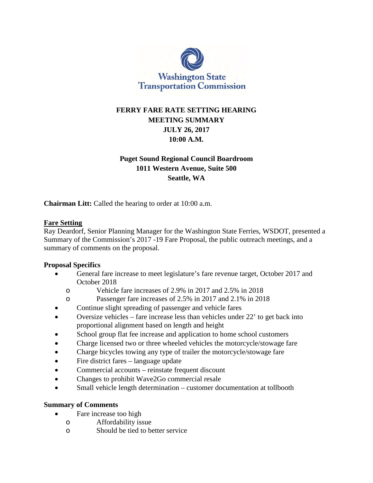

# **FERRY FARE RATE SETTING HEARING MEETING SUMMARY JULY 26, 2017 10:00 A.M.**

# **Puget Sound Regional Council Boardroom 1011 Western Avenue, Suite 500 Seattle, WA**

**Chairman Litt:** Called the hearing to order at 10:00 a.m.

#### **Fare Setting**

Ray Deardorf, Senior Planning Manager for the Washington State Ferries, WSDOT, presented a Summary of the Commission's 2017 -19 Fare Proposal, the public outreach meetings, and a summary of comments on the proposal.

## **Proposal Specifics**

- General fare increase to meet legislature's fare revenue target, October 2017 and October 2018
	- o Vehicle fare increases of 2.9% in 2017 and 2.5% in 2018
	- o Passenger fare increases of 2.5% in 2017 and 2.1% in 2018
- Continue slight spreading of passenger and vehicle fares
- Oversize vehicles fare increase less than vehicles under 22' to get back into proportional alignment based on length and height
- School group flat fee increase and application to home school customers
- Charge licensed two or three wheeled vehicles the motorcycle/stowage fare
- Charge bicycles towing any type of trailer the motorcycle/stowage fare
- Fire district fares language update
- Commercial accounts reinstate frequent discount
- Changes to prohibit Wave2Go commercial resale
- Small vehicle length determination customer documentation at tollbooth

#### **Summary of Comments**

- Fare increase too high
	- o Affordability issue
	- Should be tied to better service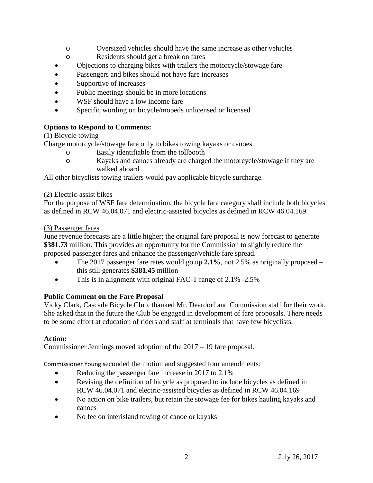- o Oversized vehicles should have the same increase as other vehicles
- o Residents should get a break on fares
- Objections to charging bikes with trailers the motorcycle/stowage fare
- Passengers and bikes should not have fare increases
- Supportive of increases
- Public meetings should be in more locations
- WSF should have a low income fare
- Specific wording on bicycle/mopeds unlicensed or licensed

## **Options to Respond to Comments:**

## (1) Bicycle towing

Charge motorcycle/stowage fare only to bikes towing kayaks or canoes.

- o Easily identifiable from the tollbooth
- o Kayaks and canoes already are charged the motorcycle/stowage if they are walked aboard

All other bicyclists towing trailers would pay applicable bicycle surcharge.

## (2) Electric-assist bikes

For the purpose of WSF fare determination, the bicycle fare category shall include both bicycles as defined in RCW 46.04.071 and electric-assisted bicycles as defined in RCW 46.04.169.

## (3) Passenger fares

June revenue forecasts are a little higher; the original fare proposal is now forecast to generate **\$381.73** million. This provides an opportunity for the Commission to slightly reduce the proposed passenger fares and enhance the passenger/vehicle fare spread.

- The 2017 passenger fare rates would go up **2.1%**, not 2.5% as originally proposed this still generates **\$381.45** million
- This is in alignment with original FAC-T range of 2.1% -2.5%

## **Public Comment on the Fare Proposal**

Vicky Clark, Cascade Bicycle Club, thanked Mr. Deardorf and Commission staff for their work. She asked that in the future the Club be engaged in development of fare proposals. There needs to be some effort at education of riders and staff at terminals that have few bicyclists.

## **Action:**

Commissioner Jennings moved adoption of the 2017 – 19 fare proposal.

Commissioner Young seconded the motion and suggested four amendments:

- Reducing the passenger fare increase in 2017 to 2.1%
- Revising the definition of bicycle as proposed to include bicycles as defined in RCW 46.04.071 and electric-assisted bicycles as defined in RCW 46.04.169
- No action on bike trailers, but retain the stowage fee for bikes hauling kayaks and canoes
- No fee on interisland towing of canoe or kayaks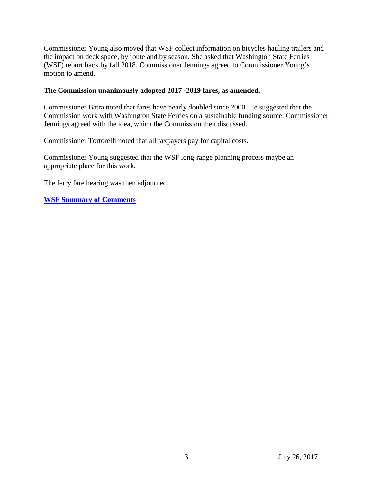Commissioner Young also moved that WSF collect information on bicycles hauling trailers and the impact on deck space, by route and by season. She asked that Washington State Ferries (WSF) report back by fall 2018. Commissioner Jennings agreed to Commissioner Young's motion to amend.

#### **The Commission unanimously adopted 2017 -2019 fares, as amended.**

Commissioner Batra noted that fares have nearly doubled since 2000. He suggested that the Commission work with Washington State Ferries on a sustainable funding source. Commissioner Jennings agreed with the idea, which the Commission then discussed.

Commissioner Tortorelli noted that all taxpayers pay for capital costs.

Commissioner Young suggested that the WSF long-range planning process maybe an appropriate place for this work.

The ferry fare hearing was then adjourned.

**[WSF Summary of Comments](http://www.wstc.wa.gov/Meetings/AgendasMinutes/agendas/2017/July26/documents/2017_0726_BP5_WSFSummaryComments.pdf)**